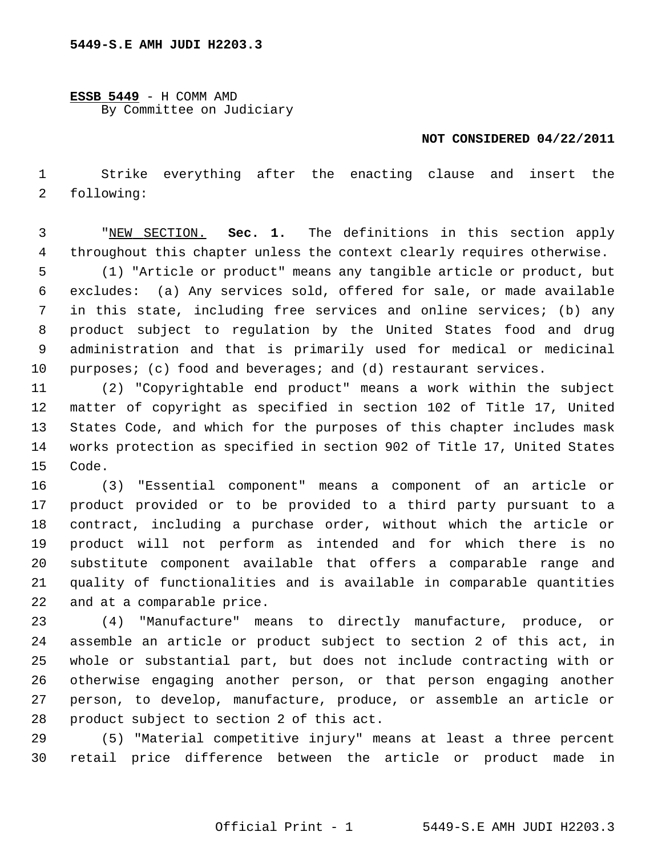**ESSB 5449** - H COMM AMD By Committee on Judiciary

## **NOT CONSIDERED 04/22/2011**

 1 Strike everything after the enacting clause and insert the 2 following:

 3 "NEW SECTION. **Sec. 1.** The definitions in this section apply 4 throughout this chapter unless the context clearly requires otherwise.

 5 (1) "Article or product" means any tangible article or product, but 6 excludes: (a) Any services sold, offered for sale, or made available 7 in this state, including free services and online services; (b) any 8 product subject to regulation by the United States food and drug 9 administration and that is primarily used for medical or medicinal 10 purposes; (c) food and beverages; and (d) restaurant services.

11 (2) "Copyrightable end product" means a work within the subject 12 matter of copyright as specified in section 102 of Title 17, United 13 States Code, and which for the purposes of this chapter includes mask 14 works protection as specified in section 902 of Title 17, United States 15 Code.

16 (3) "Essential component" means a component of an article or 17 product provided or to be provided to a third party pursuant to a 18 contract, including a purchase order, without which the article or 19 product will not perform as intended and for which there is no 20 substitute component available that offers a comparable range and 21 quality of functionalities and is available in comparable quantities 22 and at a comparable price.

23 (4) "Manufacture" means to directly manufacture, produce, or 24 assemble an article or product subject to section 2 of this act, in 25 whole or substantial part, but does not include contracting with or 26 otherwise engaging another person, or that person engaging another 27 person, to develop, manufacture, produce, or assemble an article or 28 product subject to section 2 of this act.

29 (5) "Material competitive injury" means at least a three percent 30 retail price difference between the article or product made in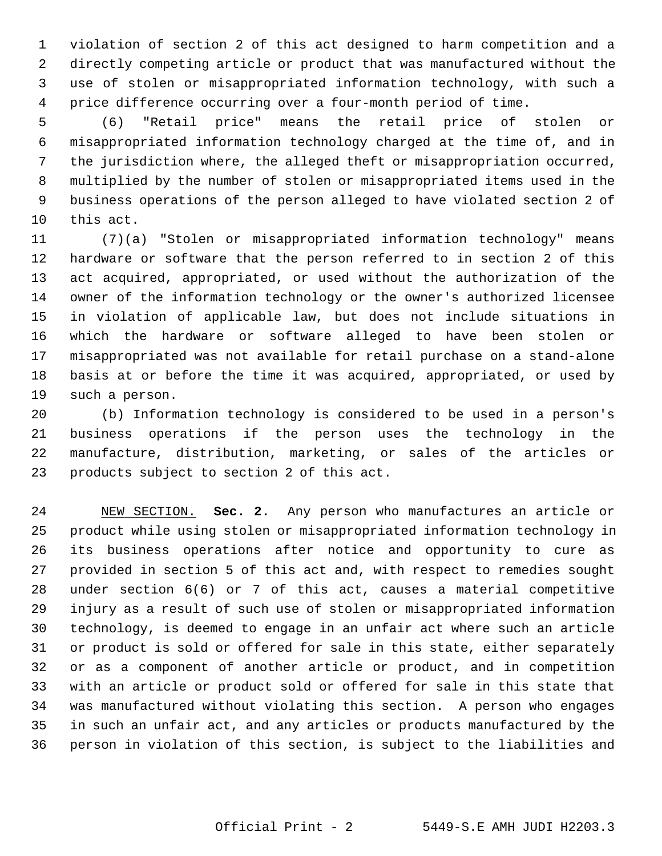1 violation of section 2 of this act designed to harm competition and a 2 directly competing article or product that was manufactured without the 3 use of stolen or misappropriated information technology, with such a 4 price difference occurring over a four-month period of time.

 5 (6) "Retail price" means the retail price of stolen or 6 misappropriated information technology charged at the time of, and in 7 the jurisdiction where, the alleged theft or misappropriation occurred, 8 multiplied by the number of stolen or misappropriated items used in the 9 business operations of the person alleged to have violated section 2 of 10 this act.

11 (7)(a) "Stolen or misappropriated information technology" means 12 hardware or software that the person referred to in section 2 of this 13 act acquired, appropriated, or used without the authorization of the 14 owner of the information technology or the owner's authorized licensee 15 in violation of applicable law, but does not include situations in 16 which the hardware or software alleged to have been stolen or 17 misappropriated was not available for retail purchase on a stand-alone 18 basis at or before the time it was acquired, appropriated, or used by 19 such a person.

20 (b) Information technology is considered to be used in a person's 21 business operations if the person uses the technology in the 22 manufacture, distribution, marketing, or sales of the articles or 23 products subject to section 2 of this act.

24 NEW SECTION. **Sec. 2.** Any person who manufactures an article or 25 product while using stolen or misappropriated information technology in 26 its business operations after notice and opportunity to cure as 27 provided in section 5 of this act and, with respect to remedies sought 28 under section 6(6) or 7 of this act, causes a material competitive 29 injury as a result of such use of stolen or misappropriated information 30 technology, is deemed to engage in an unfair act where such an article 31 or product is sold or offered for sale in this state, either separately 32 or as a component of another article or product, and in competition 33 with an article or product sold or offered for sale in this state that 34 was manufactured without violating this section. A person who engages 35 in such an unfair act, and any articles or products manufactured by the 36 person in violation of this section, is subject to the liabilities and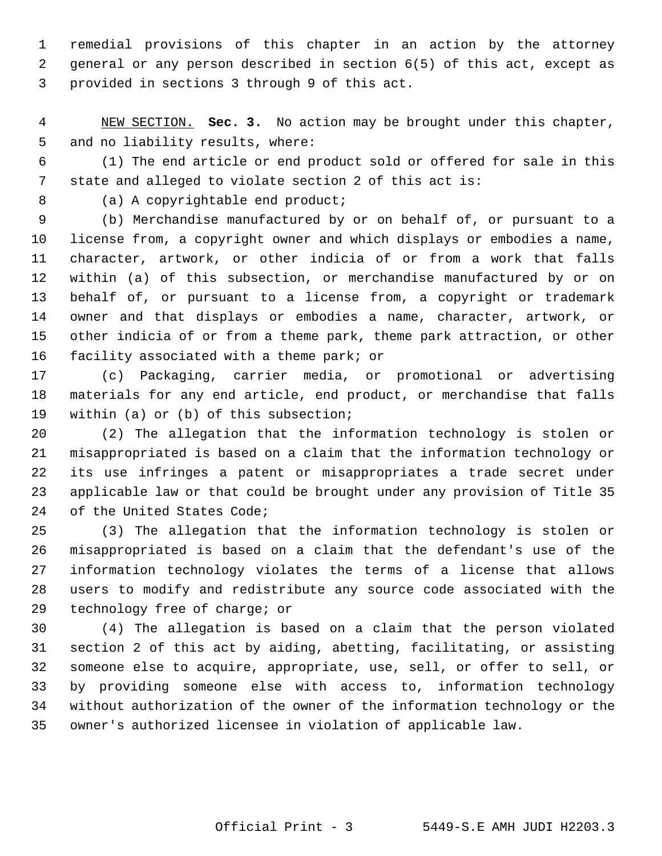1 remedial provisions of this chapter in an action by the attorney 2 general or any person described in section 6(5) of this act, except as 3 provided in sections 3 through 9 of this act.

 4 NEW SECTION. **Sec. 3.** No action may be brought under this chapter, 5 and no liability results, where:

 6 (1) The end article or end product sold or offered for sale in this 7 state and alleged to violate section 2 of this act is:

8 (a) A copyrightable end product;

 9 (b) Merchandise manufactured by or on behalf of, or pursuant to a 10 license from, a copyright owner and which displays or embodies a name, 11 character, artwork, or other indicia of or from a work that falls 12 within (a) of this subsection, or merchandise manufactured by or on 13 behalf of, or pursuant to a license from, a copyright or trademark 14 owner and that displays or embodies a name, character, artwork, or 15 other indicia of or from a theme park, theme park attraction, or other 16 facility associated with a theme park; or

17 (c) Packaging, carrier media, or promotional or advertising 18 materials for any end article, end product, or merchandise that falls 19 within (a) or (b) of this subsection;

20 (2) The allegation that the information technology is stolen or 21 misappropriated is based on a claim that the information technology or 22 its use infringes a patent or misappropriates a trade secret under 23 applicable law or that could be brought under any provision of Title 35 24 of the United States Code;

25 (3) The allegation that the information technology is stolen or 26 misappropriated is based on a claim that the defendant's use of the 27 information technology violates the terms of a license that allows 28 users to modify and redistribute any source code associated with the 29 technology free of charge; or

30 (4) The allegation is based on a claim that the person violated 31 section 2 of this act by aiding, abetting, facilitating, or assisting 32 someone else to acquire, appropriate, use, sell, or offer to sell, or 33 by providing someone else with access to, information technology 34 without authorization of the owner of the information technology or the 35 owner's authorized licensee in violation of applicable law.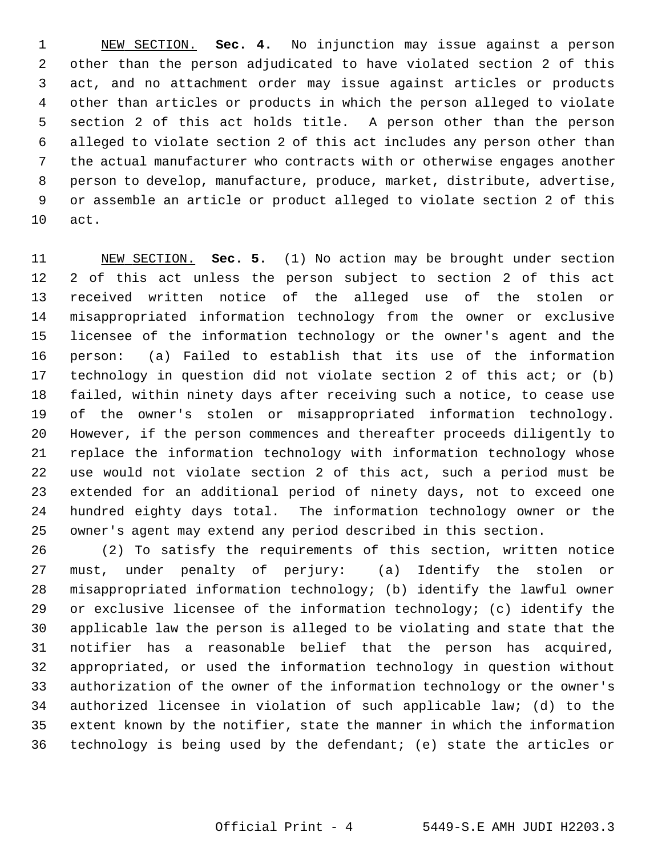1 NEW SECTION. **Sec. 4.** No injunction may issue against a person 2 other than the person adjudicated to have violated section 2 of this 3 act, and no attachment order may issue against articles or products 4 other than articles or products in which the person alleged to violate 5 section 2 of this act holds title. A person other than the person 6 alleged to violate section 2 of this act includes any person other than 7 the actual manufacturer who contracts with or otherwise engages another 8 person to develop, manufacture, produce, market, distribute, advertise, 9 or assemble an article or product alleged to violate section 2 of this 10 act.

11 NEW SECTION. **Sec. 5.** (1) No action may be brought under section 12 2 of this act unless the person subject to section 2 of this act 13 received written notice of the alleged use of the stolen or 14 misappropriated information technology from the owner or exclusive 15 licensee of the information technology or the owner's agent and the 16 person: (a) Failed to establish that its use of the information 17 technology in question did not violate section 2 of this act; or (b) 18 failed, within ninety days after receiving such a notice, to cease use 19 of the owner's stolen or misappropriated information technology. 20 However, if the person commences and thereafter proceeds diligently to 21 replace the information technology with information technology whose 22 use would not violate section 2 of this act, such a period must be 23 extended for an additional period of ninety days, not to exceed one 24 hundred eighty days total. The information technology owner or the 25 owner's agent may extend any period described in this section.

26 (2) To satisfy the requirements of this section, written notice 27 must, under penalty of perjury: (a) Identify the stolen or 28 misappropriated information technology; (b) identify the lawful owner 29 or exclusive licensee of the information technology; (c) identify the 30 applicable law the person is alleged to be violating and state that the 31 notifier has a reasonable belief that the person has acquired, 32 appropriated, or used the information technology in question without 33 authorization of the owner of the information technology or the owner's 34 authorized licensee in violation of such applicable law; (d) to the 35 extent known by the notifier, state the manner in which the information 36 technology is being used by the defendant; (e) state the articles or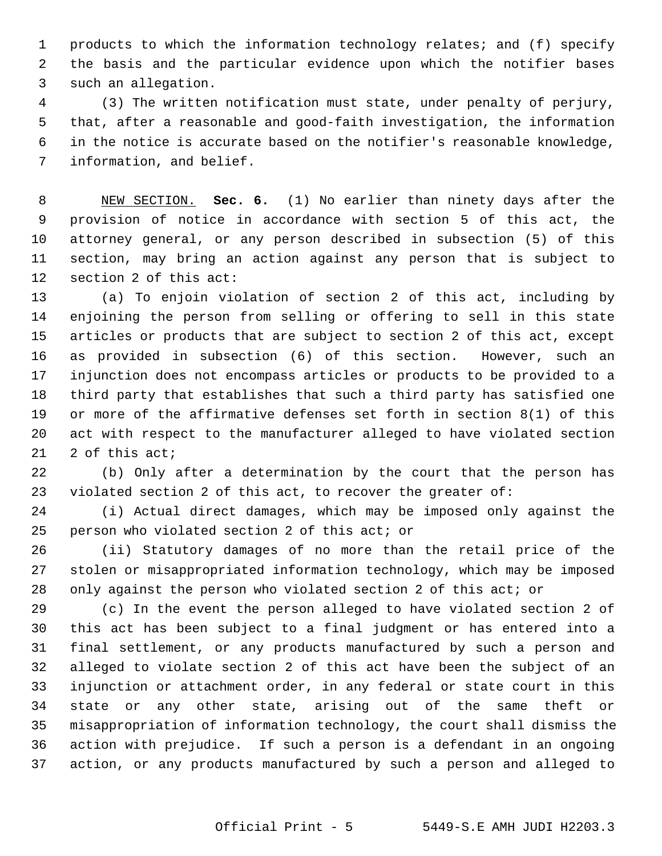1 products to which the information technology relates; and (f) specify 2 the basis and the particular evidence upon which the notifier bases 3 such an allegation.

 4 (3) The written notification must state, under penalty of perjury, 5 that, after a reasonable and good-faith investigation, the information 6 in the notice is accurate based on the notifier's reasonable knowledge, 7 information, and belief.

 8 NEW SECTION. **Sec. 6.** (1) No earlier than ninety days after the 9 provision of notice in accordance with section 5 of this act, the 10 attorney general, or any person described in subsection (5) of this 11 section, may bring an action against any person that is subject to 12 section 2 of this act:

13 (a) To enjoin violation of section 2 of this act, including by 14 enjoining the person from selling or offering to sell in this state 15 articles or products that are subject to section 2 of this act, except 16 as provided in subsection (6) of this section. However, such an 17 injunction does not encompass articles or products to be provided to a 18 third party that establishes that such a third party has satisfied one 19 or more of the affirmative defenses set forth in section 8(1) of this 20 act with respect to the manufacturer alleged to have violated section 21 2 of this act;

22 (b) Only after a determination by the court that the person has 23 violated section 2 of this act, to recover the greater of:

24 (i) Actual direct damages, which may be imposed only against the 25 person who violated section 2 of this act; or

26 (ii) Statutory damages of no more than the retail price of the 27 stolen or misappropriated information technology, which may be imposed 28 only against the person who violated section 2 of this act; or

29 (c) In the event the person alleged to have violated section 2 of 30 this act has been subject to a final judgment or has entered into a 31 final settlement, or any products manufactured by such a person and 32 alleged to violate section 2 of this act have been the subject of an 33 injunction or attachment order, in any federal or state court in this 34 state or any other state, arising out of the same theft or 35 misappropriation of information technology, the court shall dismiss the 36 action with prejudice. If such a person is a defendant in an ongoing 37 action, or any products manufactured by such a person and alleged to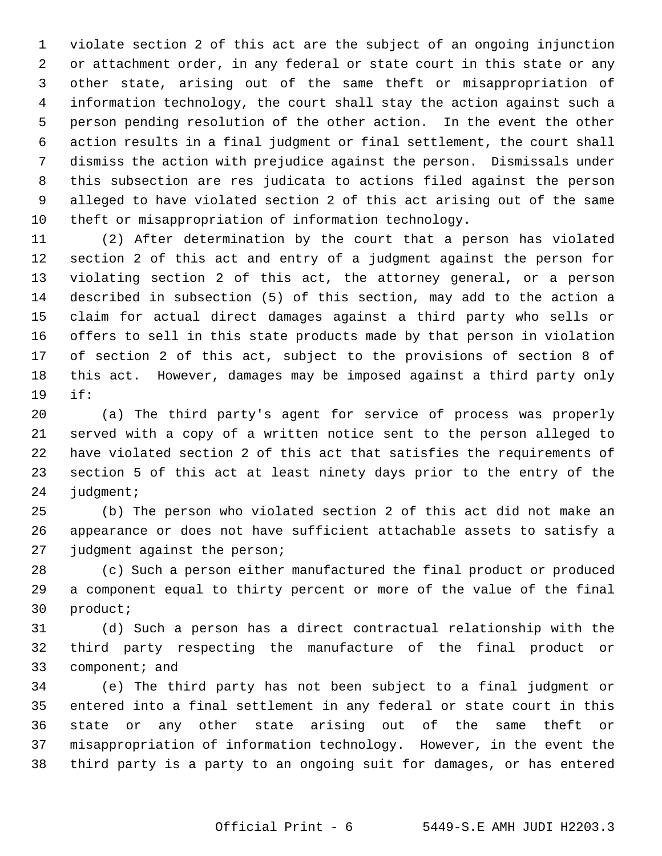1 violate section 2 of this act are the subject of an ongoing injunction 2 or attachment order, in any federal or state court in this state or any 3 other state, arising out of the same theft or misappropriation of 4 information technology, the court shall stay the action against such a 5 person pending resolution of the other action. In the event the other 6 action results in a final judgment or final settlement, the court shall 7 dismiss the action with prejudice against the person. Dismissals under 8 this subsection are res judicata to actions filed against the person 9 alleged to have violated section 2 of this act arising out of the same 10 theft or misappropriation of information technology.

11 (2) After determination by the court that a person has violated 12 section 2 of this act and entry of a judgment against the person for 13 violating section 2 of this act, the attorney general, or a person 14 described in subsection (5) of this section, may add to the action a 15 claim for actual direct damages against a third party who sells or 16 offers to sell in this state products made by that person in violation 17 of section 2 of this act, subject to the provisions of section 8 of 18 this act. However, damages may be imposed against a third party only 19 if:

20 (a) The third party's agent for service of process was properly 21 served with a copy of a written notice sent to the person alleged to 22 have violated section 2 of this act that satisfies the requirements of 23 section 5 of this act at least ninety days prior to the entry of the 24 judgment;

25 (b) The person who violated section 2 of this act did not make an 26 appearance or does not have sufficient attachable assets to satisfy a 27 judgment against the person;

28 (c) Such a person either manufactured the final product or produced 29 a component equal to thirty percent or more of the value of the final 30 product;

31 (d) Such a person has a direct contractual relationship with the 32 third party respecting the manufacture of the final product or 33 component; and

34 (e) The third party has not been subject to a final judgment or 35 entered into a final settlement in any federal or state court in this 36 state or any other state arising out of the same theft or 37 misappropriation of information technology. However, in the event the 38 third party is a party to an ongoing suit for damages, or has entered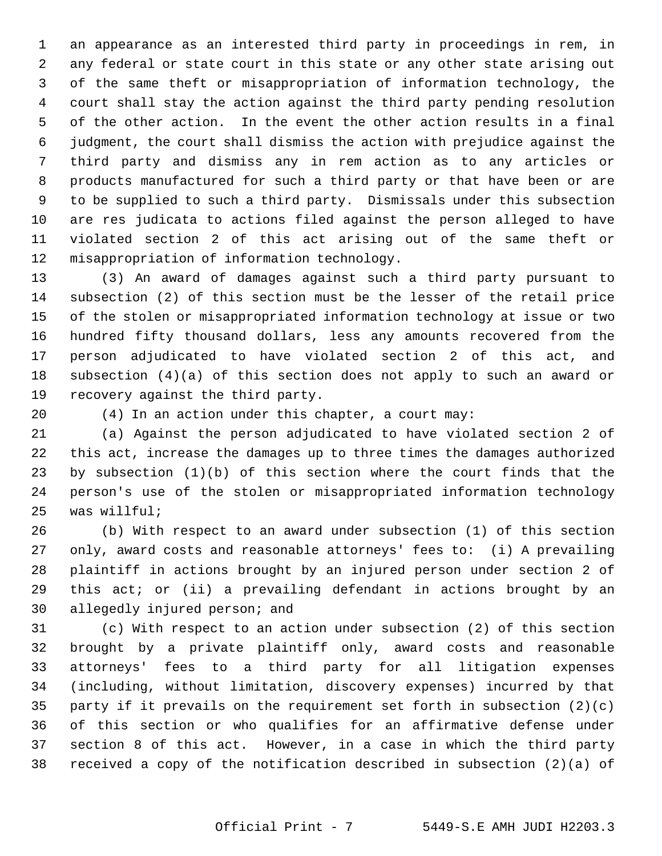1 an appearance as an interested third party in proceedings in rem, in 2 any federal or state court in this state or any other state arising out 3 of the same theft or misappropriation of information technology, the 4 court shall stay the action against the third party pending resolution 5 of the other action. In the event the other action results in a final 6 judgment, the court shall dismiss the action with prejudice against the 7 third party and dismiss any in rem action as to any articles or 8 products manufactured for such a third party or that have been or are 9 to be supplied to such a third party. Dismissals under this subsection 10 are res judicata to actions filed against the person alleged to have 11 violated section 2 of this act arising out of the same theft or 12 misappropriation of information technology.

13 (3) An award of damages against such a third party pursuant to 14 subsection (2) of this section must be the lesser of the retail price 15 of the stolen or misappropriated information technology at issue or two 16 hundred fifty thousand dollars, less any amounts recovered from the 17 person adjudicated to have violated section 2 of this act, and 18 subsection (4)(a) of this section does not apply to such an award or 19 recovery against the third party.

20 (4) In an action under this chapter, a court may:

21 (a) Against the person adjudicated to have violated section 2 of 22 this act, increase the damages up to three times the damages authorized 23 by subsection (1)(b) of this section where the court finds that the 24 person's use of the stolen or misappropriated information technology 25 was willful;

26 (b) With respect to an award under subsection (1) of this section 27 only, award costs and reasonable attorneys' fees to: (i) A prevailing 28 plaintiff in actions brought by an injured person under section 2 of 29 this act; or (ii) a prevailing defendant in actions brought by an 30 allegedly injured person; and

31 (c) With respect to an action under subsection (2) of this section 32 brought by a private plaintiff only, award costs and reasonable 33 attorneys' fees to a third party for all litigation expenses 34 (including, without limitation, discovery expenses) incurred by that 35 party if it prevails on the requirement set forth in subsection  $(2)(c)$ 36 of this section or who qualifies for an affirmative defense under 37 section 8 of this act. However, in a case in which the third party 38 received a copy of the notification described in subsection (2)(a) of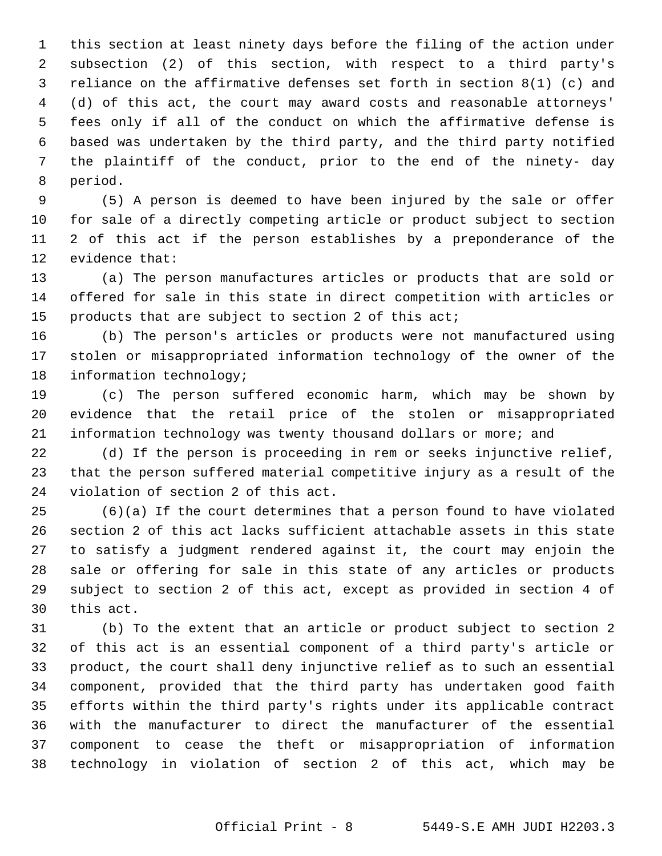1 this section at least ninety days before the filing of the action under 2 subsection (2) of this section, with respect to a third party's 3 reliance on the affirmative defenses set forth in section 8(1) (c) and 4 (d) of this act, the court may award costs and reasonable attorneys' 5 fees only if all of the conduct on which the affirmative defense is 6 based was undertaken by the third party, and the third party notified 7 the plaintiff of the conduct, prior to the end of the ninety- day 8 period.

 9 (5) A person is deemed to have been injured by the sale or offer 10 for sale of a directly competing article or product subject to section 11 2 of this act if the person establishes by a preponderance of the 12 evidence that:

13 (a) The person manufactures articles or products that are sold or 14 offered for sale in this state in direct competition with articles or 15 products that are subject to section 2 of this act;

16 (b) The person's articles or products were not manufactured using 17 stolen or misappropriated information technology of the owner of the 18 information technology;

19 (c) The person suffered economic harm, which may be shown by 20 evidence that the retail price of the stolen or misappropriated 21 information technology was twenty thousand dollars or more; and

22 (d) If the person is proceeding in rem or seeks injunctive relief, 23 that the person suffered material competitive injury as a result of the 24 violation of section 2 of this act.

25 (6)(a) If the court determines that a person found to have violated 26 section 2 of this act lacks sufficient attachable assets in this state 27 to satisfy a judgment rendered against it, the court may enjoin the 28 sale or offering for sale in this state of any articles or products 29 subject to section 2 of this act, except as provided in section 4 of 30 this act.

31 (b) To the extent that an article or product subject to section 2 32 of this act is an essential component of a third party's article or 33 product, the court shall deny injunctive relief as to such an essential 34 component, provided that the third party has undertaken good faith 35 efforts within the third party's rights under its applicable contract 36 with the manufacturer to direct the manufacturer of the essential 37 component to cease the theft or misappropriation of information 38 technology in violation of section 2 of this act, which may be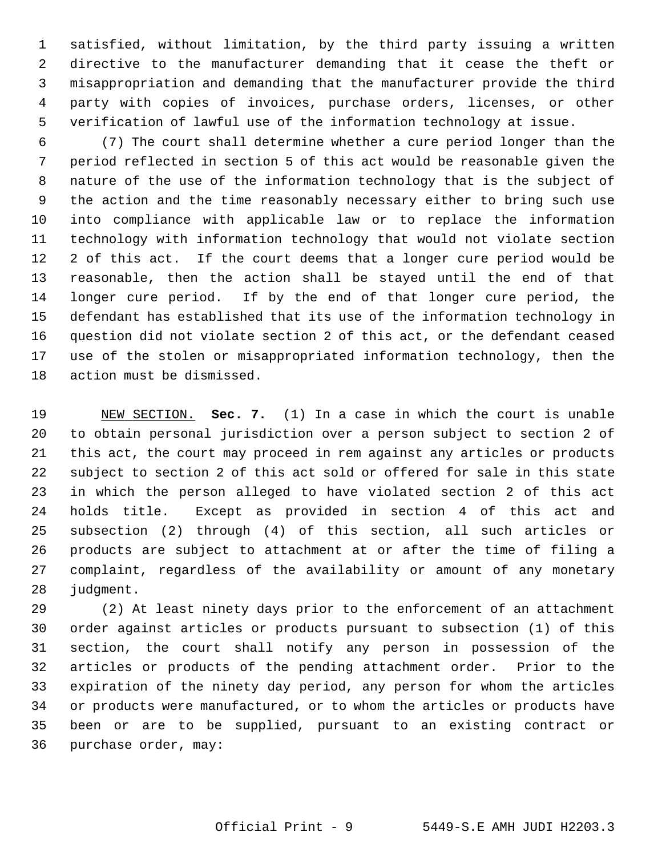1 satisfied, without limitation, by the third party issuing a written 2 directive to the manufacturer demanding that it cease the theft or 3 misappropriation and demanding that the manufacturer provide the third 4 party with copies of invoices, purchase orders, licenses, or other 5 verification of lawful use of the information technology at issue.

 6 (7) The court shall determine whether a cure period longer than the 7 period reflected in section 5 of this act would be reasonable given the 8 nature of the use of the information technology that is the subject of 9 the action and the time reasonably necessary either to bring such use 10 into compliance with applicable law or to replace the information 11 technology with information technology that would not violate section 12 2 of this act. If the court deems that a longer cure period would be 13 reasonable, then the action shall be stayed until the end of that 14 longer cure period. If by the end of that longer cure period, the 15 defendant has established that its use of the information technology in 16 question did not violate section 2 of this act, or the defendant ceased 17 use of the stolen or misappropriated information technology, then the 18 action must be dismissed.

19 NEW SECTION. **Sec. 7.** (1) In a case in which the court is unable 20 to obtain personal jurisdiction over a person subject to section 2 of 21 this act, the court may proceed in rem against any articles or products 22 subject to section 2 of this act sold or offered for sale in this state 23 in which the person alleged to have violated section 2 of this act 24 holds title. Except as provided in section 4 of this act and 25 subsection (2) through (4) of this section, all such articles or 26 products are subject to attachment at or after the time of filing a 27 complaint, regardless of the availability or amount of any monetary 28 judgment.

29 (2) At least ninety days prior to the enforcement of an attachment 30 order against articles or products pursuant to subsection (1) of this 31 section, the court shall notify any person in possession of the 32 articles or products of the pending attachment order. Prior to the 33 expiration of the ninety day period, any person for whom the articles 34 or products were manufactured, or to whom the articles or products have 35 been or are to be supplied, pursuant to an existing contract or 36 purchase order, may: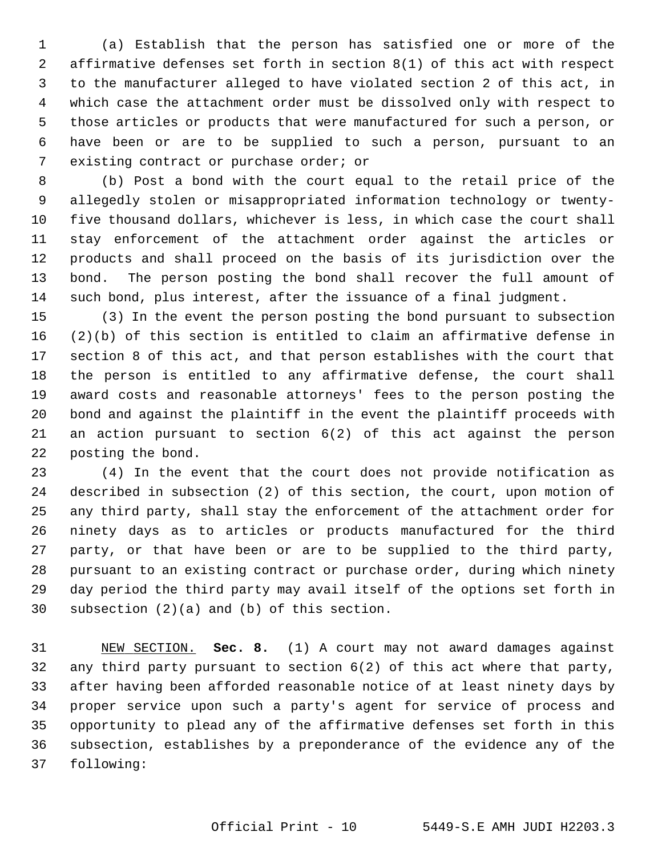1 (a) Establish that the person has satisfied one or more of the 2 affirmative defenses set forth in section 8(1) of this act with respect 3 to the manufacturer alleged to have violated section 2 of this act, in 4 which case the attachment order must be dissolved only with respect to 5 those articles or products that were manufactured for such a person, or 6 have been or are to be supplied to such a person, pursuant to an 7 existing contract or purchase order; or

 8 (b) Post a bond with the court equal to the retail price of the 9 allegedly stolen or misappropriated information technology or twenty-10 five thousand dollars, whichever is less, in which case the court shall 11 stay enforcement of the attachment order against the articles or 12 products and shall proceed on the basis of its jurisdiction over the 13 bond. The person posting the bond shall recover the full amount of 14 such bond, plus interest, after the issuance of a final judgment.

15 (3) In the event the person posting the bond pursuant to subsection 16 (2)(b) of this section is entitled to claim an affirmative defense in 17 section 8 of this act, and that person establishes with the court that 18 the person is entitled to any affirmative defense, the court shall 19 award costs and reasonable attorneys' fees to the person posting the 20 bond and against the plaintiff in the event the plaintiff proceeds with 21 an action pursuant to section 6(2) of this act against the person 22 posting the bond.

23 (4) In the event that the court does not provide notification as 24 described in subsection (2) of this section, the court, upon motion of 25 any third party, shall stay the enforcement of the attachment order for 26 ninety days as to articles or products manufactured for the third 27 party, or that have been or are to be supplied to the third party, 28 pursuant to an existing contract or purchase order, during which ninety 29 day period the third party may avail itself of the options set forth in 30 subsection (2)(a) and (b) of this section.

31 NEW SECTION. **Sec. 8.** (1) A court may not award damages against 32 any third party pursuant to section 6(2) of this act where that party, 33 after having been afforded reasonable notice of at least ninety days by 34 proper service upon such a party's agent for service of process and 35 opportunity to plead any of the affirmative defenses set forth in this 36 subsection, establishes by a preponderance of the evidence any of the 37 following: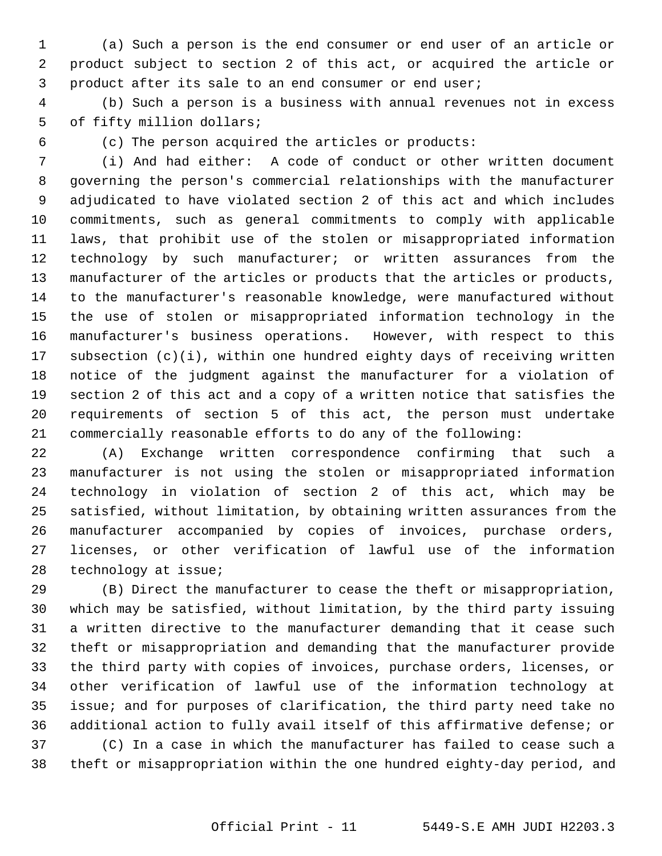1 (a) Such a person is the end consumer or end user of an article or 2 product subject to section 2 of this act, or acquired the article or 3 product after its sale to an end consumer or end user;

 4 (b) Such a person is a business with annual revenues not in excess 5 of fifty million dollars;

6 (c) The person acquired the articles or products:

 7 (i) And had either: A code of conduct or other written document 8 governing the person's commercial relationships with the manufacturer 9 adjudicated to have violated section 2 of this act and which includes 10 commitments, such as general commitments to comply with applicable 11 laws, that prohibit use of the stolen or misappropriated information 12 technology by such manufacturer; or written assurances from the 13 manufacturer of the articles or products that the articles or products, 14 to the manufacturer's reasonable knowledge, were manufactured without 15 the use of stolen or misappropriated information technology in the 16 manufacturer's business operations. However, with respect to this 17 subsection (c)(i), within one hundred eighty days of receiving written 18 notice of the judgment against the manufacturer for a violation of 19 section 2 of this act and a copy of a written notice that satisfies the 20 requirements of section 5 of this act, the person must undertake 21 commercially reasonable efforts to do any of the following:

22 (A) Exchange written correspondence confirming that such a 23 manufacturer is not using the stolen or misappropriated information 24 technology in violation of section 2 of this act, which may be 25 satisfied, without limitation, by obtaining written assurances from the 26 manufacturer accompanied by copies of invoices, purchase orders, 27 licenses, or other verification of lawful use of the information 28 technology at issue;

29 (B) Direct the manufacturer to cease the theft or misappropriation, 30 which may be satisfied, without limitation, by the third party issuing 31 a written directive to the manufacturer demanding that it cease such 32 theft or misappropriation and demanding that the manufacturer provide 33 the third party with copies of invoices, purchase orders, licenses, or 34 other verification of lawful use of the information technology at 35 issue; and for purposes of clarification, the third party need take no 36 additional action to fully avail itself of this affirmative defense; or 37 (C) In a case in which the manufacturer has failed to cease such a 38 theft or misappropriation within the one hundred eighty-day period, and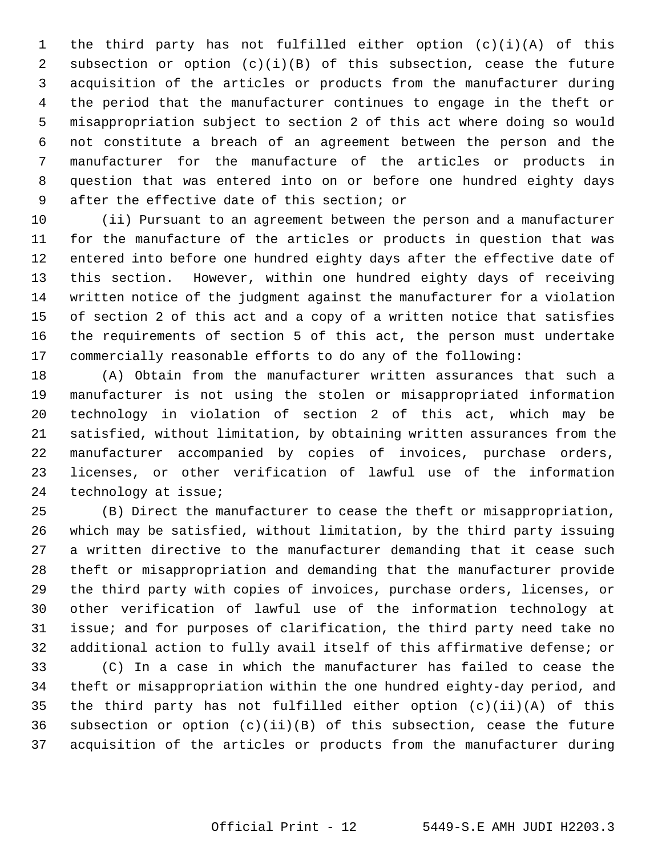1 the third party has not fulfilled either option (c)(i)(A) of this 2 subsection or option (c)(i)(B) of this subsection, cease the future 3 acquisition of the articles or products from the manufacturer during 4 the period that the manufacturer continues to engage in the theft or 5 misappropriation subject to section 2 of this act where doing so would 6 not constitute a breach of an agreement between the person and the 7 manufacturer for the manufacture of the articles or products in 8 question that was entered into on or before one hundred eighty days 9 after the effective date of this section; or

10 (ii) Pursuant to an agreement between the person and a manufacturer 11 for the manufacture of the articles or products in question that was 12 entered into before one hundred eighty days after the effective date of 13 this section. However, within one hundred eighty days of receiving 14 written notice of the judgment against the manufacturer for a violation 15 of section 2 of this act and a copy of a written notice that satisfies 16 the requirements of section 5 of this act, the person must undertake 17 commercially reasonable efforts to do any of the following:

18 (A) Obtain from the manufacturer written assurances that such a 19 manufacturer is not using the stolen or misappropriated information 20 technology in violation of section 2 of this act, which may be 21 satisfied, without limitation, by obtaining written assurances from the 22 manufacturer accompanied by copies of invoices, purchase orders, 23 licenses, or other verification of lawful use of the information 24 technology at issue;

25 (B) Direct the manufacturer to cease the theft or misappropriation, 26 which may be satisfied, without limitation, by the third party issuing 27 a written directive to the manufacturer demanding that it cease such 28 theft or misappropriation and demanding that the manufacturer provide 29 the third party with copies of invoices, purchase orders, licenses, or 30 other verification of lawful use of the information technology at 31 issue; and for purposes of clarification, the third party need take no 32 additional action to fully avail itself of this affirmative defense; or

33 (C) In a case in which the manufacturer has failed to cease the 34 theft or misappropriation within the one hundred eighty-day period, and 35 the third party has not fulfilled either option (c)(ii)(A) of this 36 subsection or option (c)(ii)(B) of this subsection, cease the future 37 acquisition of the articles or products from the manufacturer during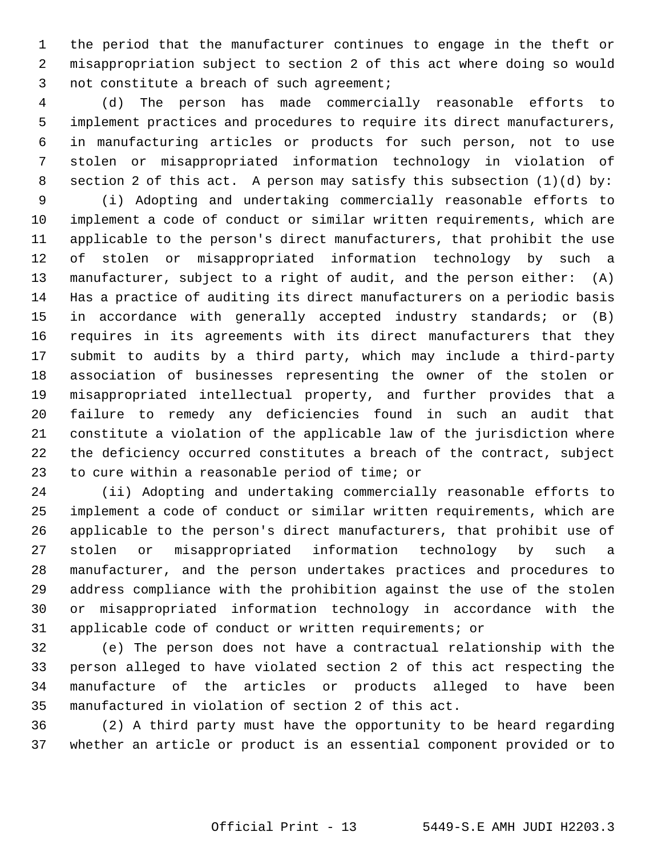1 the period that the manufacturer continues to engage in the theft or 2 misappropriation subject to section 2 of this act where doing so would 3 not constitute a breach of such agreement;

 4 (d) The person has made commercially reasonable efforts to 5 implement practices and procedures to require its direct manufacturers, 6 in manufacturing articles or products for such person, not to use 7 stolen or misappropriated information technology in violation of 8 section 2 of this act. A person may satisfy this subsection  $(1)(d)$  by:

 9 (i) Adopting and undertaking commercially reasonable efforts to 10 implement a code of conduct or similar written requirements, which are 11 applicable to the person's direct manufacturers, that prohibit the use 12 of stolen or misappropriated information technology by such a 13 manufacturer, subject to a right of audit, and the person either: (A) 14 Has a practice of auditing its direct manufacturers on a periodic basis 15 in accordance with generally accepted industry standards; or (B) 16 requires in its agreements with its direct manufacturers that they 17 submit to audits by a third party, which may include a third-party 18 association of businesses representing the owner of the stolen or 19 misappropriated intellectual property, and further provides that a 20 failure to remedy any deficiencies found in such an audit that 21 constitute a violation of the applicable law of the jurisdiction where 22 the deficiency occurred constitutes a breach of the contract, subject 23 to cure within a reasonable period of time; or

24 (ii) Adopting and undertaking commercially reasonable efforts to 25 implement a code of conduct or similar written requirements, which are 26 applicable to the person's direct manufacturers, that prohibit use of 27 stolen or misappropriated information technology by such a 28 manufacturer, and the person undertakes practices and procedures to 29 address compliance with the prohibition against the use of the stolen 30 or misappropriated information technology in accordance with the 31 applicable code of conduct or written requirements; or

32 (e) The person does not have a contractual relationship with the 33 person alleged to have violated section 2 of this act respecting the 34 manufacture of the articles or products alleged to have been 35 manufactured in violation of section 2 of this act.

36 (2) A third party must have the opportunity to be heard regarding 37 whether an article or product is an essential component provided or to